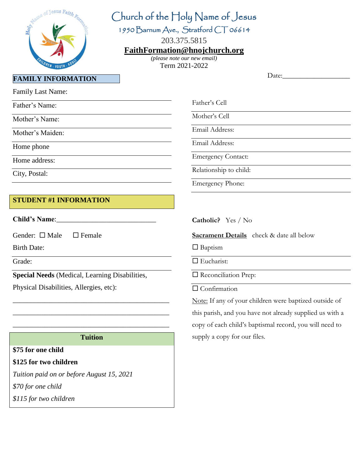

# Church of the Holy Name of Jesus

1950 Barnum Ave., Stratford CT 06614

203.375.5815

#### **[FaithFormation@hnojchurch.org](mailto:FaithFormation@hnojchurch.org)**

*(please note our new email)* Term 2021-2022

Date:

Family Last Name:

Father's Name:

Mother's Name:

Mother's Maiden:

Home phone

Home address:

City, Postal:

## **STUDENT #1 INFORMATION**

**Child's Name**:\_\_\_\_\_\_\_\_\_\_\_\_\_\_\_\_\_\_\_\_\_\_\_\_\_\_\_\_

Gender:  $\Box$  Male  $\Box$  Female

Birth Date:

Grade:

**Special Needs** (Medical, Learning Disabilities,

Physical Disabilities, Allergies, etc):

#### **Tuition**

\_\_\_\_\_\_\_\_\_\_\_\_\_\_\_\_\_\_\_\_\_\_\_\_\_\_\_\_\_\_\_\_\_\_\_\_\_\_\_\_\_\_\_\_

\_\_\_\_\_\_\_\_\_\_\_\_\_\_\_\_\_\_\_\_\_\_\_\_\_\_\_\_\_\_\_\_\_\_\_\_\_\_\_\_\_\_\_\_

\_\_\_\_\_\_\_\_\_\_\_\_\_\_\_\_\_\_\_\_\_\_\_\_\_\_\_\_\_\_\_\_\_\_\_\_\_\_\_\_\_\_\_\_

#### **\$75 for one child**

#### **\$125 for two children**

*Tuition paid on or before August 15, 2021 \$70 for one child*

*\$115 for two children*

Father's Cell

Mother's Cell

Email Address:

Email Address:

Emergency Contact:

Relationship to child:

Emergency Phone:

**Catholic?** Yes / No

**Sacrament Details** check & date all below

 $\Box$  Baptism

□ Eucharist:

□ Reconciliation Prep:

 $\Box$  Confirmation

Note: If any of your children were baptized outside of this parish, and you have not already supplied us with a copy of each child's baptismal record, you will need to supply a copy for our files.